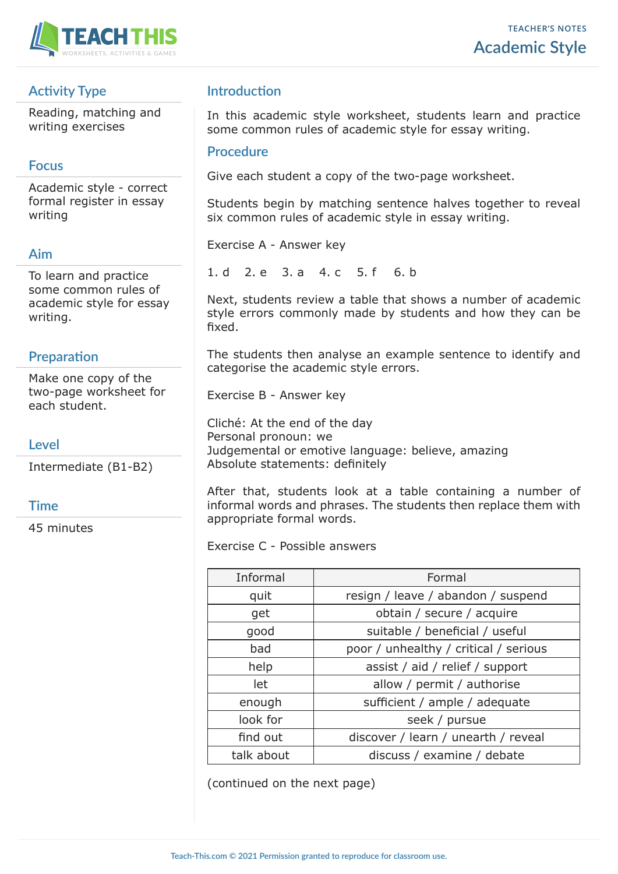

# **Activity Type**

Reading, matching and writing exercises

## **Focus**

Academic style - correct formal register in essay writing

## **Aim**

To learn and practice some common rules of academic style for essay writing.

## **Preparation**

Make one copy of the two-page worksheet for each student.

## **Level**

Intermediate (B1-B2)

### **Time**

45 minutes

## **Introduction**

In this academic style worksheet, students learn and practice some common rules of academic style for essay writing.

#### **Procedure**

Give each student a copy of the two-page worksheet.

Students begin by matching sentence halves together to reveal six common rules of academic style in essay writing.

Exercise A - Answer key

1. d 2. e 3. a 4. c 5. f 6. b

Next, students review a table that shows a number of academic style errors commonly made by students and how they can be fixed.

The students then analyse an example sentence to identify and categorise the academic style errors.

Exercise B - Answer key

Cliché: At the end of the day Personal pronoun: we Judgemental or emotive language: believe, amazing Absolute statements: definitely

After that, students look at a table containing a number of informal words and phrases. The students then replace them with appropriate formal words.

Exercise C - Possible answers

| Informal   | Formal                                |  |
|------------|---------------------------------------|--|
| quit       | resign / leave / abandon / suspend    |  |
| get        | obtain / secure / acquire             |  |
| good       | suitable / beneficial / useful        |  |
| bad        | poor / unhealthy / critical / serious |  |
| help       | assist / aid / relief / support       |  |
| let        | allow / permit / authorise            |  |
| enough     | sufficient / ample / adequate         |  |
| look for   | seek / pursue                         |  |
| find out   | discover / learn / unearth / reveal   |  |
| talk about | discuss / examine / debate            |  |

(continued on the next page)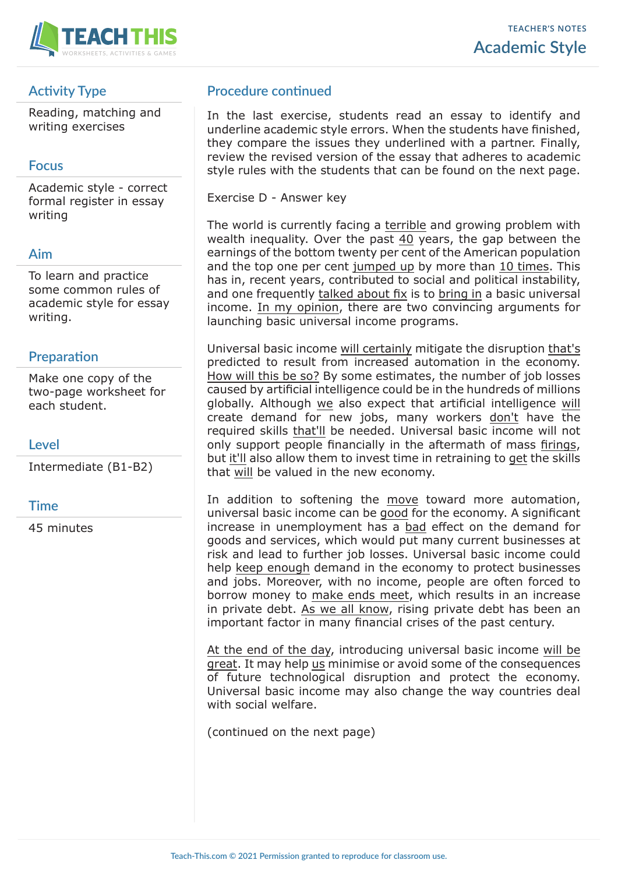

# **Activity Type**

Reading, matching and writing exercises

## **Focus**

Academic style - correct formal register in essay writing

## **Aim**

To learn and practice some common rules of academic style for essay writing.

## **Preparation**

Make one copy of the two-page worksheet for each student.

## **Level**

Intermediate (B1-B2)

### **Time**

45 minutes

# **Procedure continued**

In the last exercise, students read an essay to identify and underline academic style errors. When the students have finished, they compare the issues they underlined with a partner. Finally, review the revised version of the essay that adheres to academic style rules with the students that can be found on the next page.

Exercise D - Answer key

The world is currently facing a terrible and growing problem with wealth inequality. Over the past 40 years, the gap between the earnings of the bottom twenty per cent of the American population and the top one per cent jumped up by more than 10 times. This has in, recent years, contributed to social and political instability, and one frequently talked about fix is to bring in a basic universal income. In my opinion, there are two convincing arguments for launching basic universal income programs.

Universal basic income will certainly mitigate the disruption that's predicted to result from increased automation in the economy. How will this be so? By some estimates, the number of job losses caused by artificial intelligence could be in the hundreds of millions globally. Although we also expect that artificial intelligence will create demand for new jobs, many workers don't have the required skills that'll be needed. Universal basic income will not only support people financially in the aftermath of mass firings, but it'll also allow them to invest time in retraining to get the skills that will be valued in the new economy.

In addition to softening the move toward more automation, universal basic income can be good for the economy. A significant increase in unemployment has a bad effect on the demand for goods and services, which would put many current businesses at risk and lead to further job losses. Universal basic income could help keep enough demand in the economy to protect businesses and jobs. Moreover, with no income, people are often forced to borrow money to make ends meet, which results in an increase in private debt. As we all know, rising private debt has been an important factor in many financial crises of the past century.

At the end of the day, introducing universal basic income will be great. It may help us minimise or avoid some of the consequences of future technological disruption and protect the economy. Universal basic income may also change the way countries deal with social welfare.

(continued on the next page)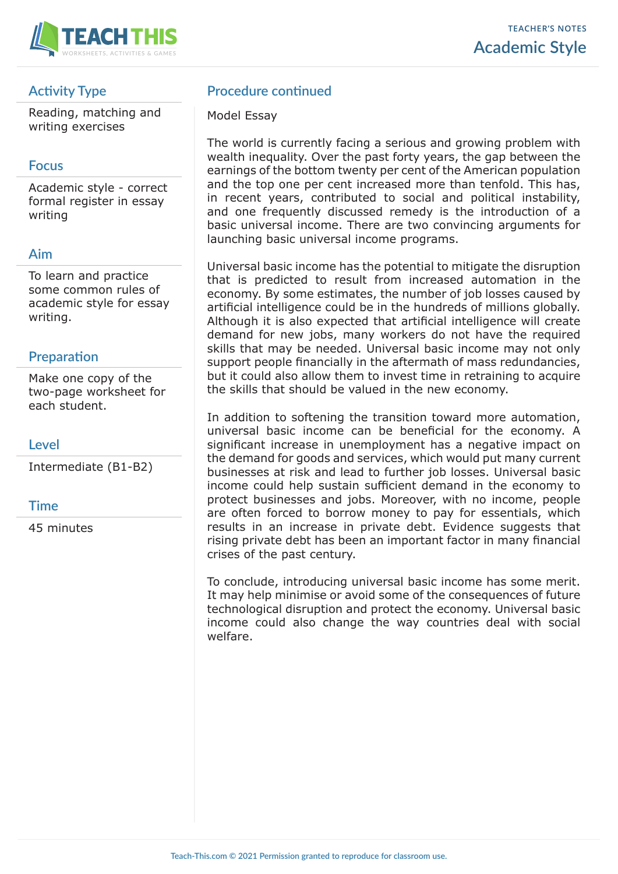

# **Activity Type**

Reading, matching and writing exercises

## **Focus**

Academic style - correct formal register in essay writing

## **Aim**

To learn and practice some common rules of academic style for essay writing.

## **Preparation**

Make one copy of the two-page worksheet for each student.

## **Level**

Intermediate (B1-B2)

### **Time**

45 minutes

## **Procedure continued**

#### Model Essay

The world is currently facing a serious and growing problem with wealth inequality. Over the past forty years, the gap between the earnings of the bottom twenty per cent of the American population and the top one per cent increased more than tenfold. This has, in recent years, contributed to social and political instability, and one frequently discussed remedy is the introduction of a basic universal income. There are two convincing arguments for launching basic universal income programs.

Universal basic income has the potential to mitigate the disruption that is predicted to result from increased automation in the economy. By some estimates, the number of job losses caused by artificial intelligence could be in the hundreds of millions globally. Although it is also expected that artificial intelligence will create demand for new jobs, many workers do not have the required skills that may be needed. Universal basic income may not only support people financially in the aftermath of mass redundancies, but it could also allow them to invest time in retraining to acquire the skills that should be valued in the new economy.

In addition to softening the transition toward more automation, universal basic income can be beneficial for the economy. A significant increase in unemployment has a negative impact on the demand for goods and services, which would put many current businesses at risk and lead to further job losses. Universal basic income could help sustain sufficient demand in the economy to protect businesses and jobs. Moreover, with no income, people are often forced to borrow money to pay for essentials, which results in an increase in private debt. Evidence suggests that rising private debt has been an important factor in many financial crises of the past century.

To conclude, introducing universal basic income has some merit. It may help minimise or avoid some of the consequences of future technological disruption and protect the economy. Universal basic income could also change the way countries deal with social welfare.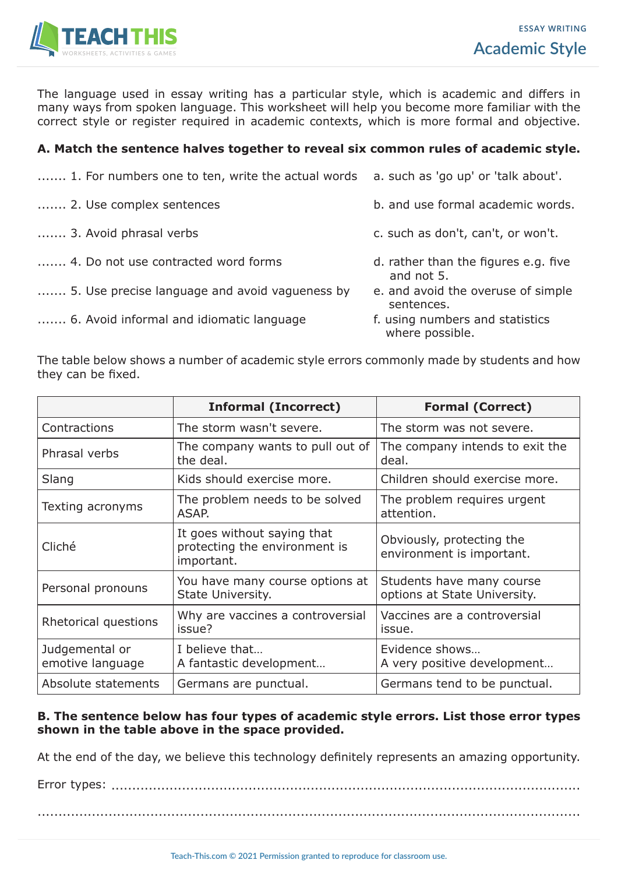

The language used in essay writing has a particular style, which is academic and differs in many ways from spoken language. This worksheet will help you become more familiar with the correct style or register required in academic contexts, which is more formal and objective.

### **A. Match the sentence halves together to reveal six common rules of academic style.**

- ....... 1. For numbers one to ten, write the actual words a. such as 'go up' or 'talk about'.
- ....... 2. Use complex sentences and use formal academic words.
- 
- ....... 4. Do not use contracted word forms d. rather than the figures e.g. five
- ....... 5. Use precise language and avoid vagueness by e. and avoid the overuse of simple
- ....... 6. Avoid informal and idiomatic language f. using numbers and statistics
- -
- ....... 3. Avoid phrasal verbs extended that can't, can't, or won't.
	- and not 5.
	- sentences.
	- where possible.

The table below shows a number of academic style errors commonly made by students and how they can be fixed.

|                                    | <b>Informal (Incorrect)</b>                                                | <b>Formal (Correct)</b>                                   |
|------------------------------------|----------------------------------------------------------------------------|-----------------------------------------------------------|
| Contractions                       | The storm wasn't severe.                                                   | The storm was not severe.                                 |
| Phrasal verbs                      | The company wants to pull out of<br>the deal.                              | The company intends to exit the<br>deal.                  |
| Slang                              | Kids should exercise more.                                                 | Children should exercise more.                            |
| Texting acronyms                   | The problem needs to be solved<br>ASAP.                                    | The problem requires urgent<br>attention.                 |
| Cliché                             | It goes without saying that<br>protecting the environment is<br>important. | Obviously, protecting the<br>environment is important.    |
| Personal pronouns                  | You have many course options at<br>State University.                       | Students have many course<br>options at State University. |
| Rhetorical questions               | Why are vaccines a controversial<br>issue?                                 | Vaccines are a controversial<br>issue.                    |
| Judgemental or<br>emotive language | I believe that<br>A fantastic development                                  | Evidence shows<br>A very positive development             |
| Absolute statements                | Germans are punctual.                                                      | Germans tend to be punctual.                              |

#### **B. The sentence below has four types of academic style errors. List those error types shown in the table above in the space provided.**

At the end of the day, we believe this technology definitely represents an amazing opportunity.

Error types: .................................................................................................................

..................................................................................................................................